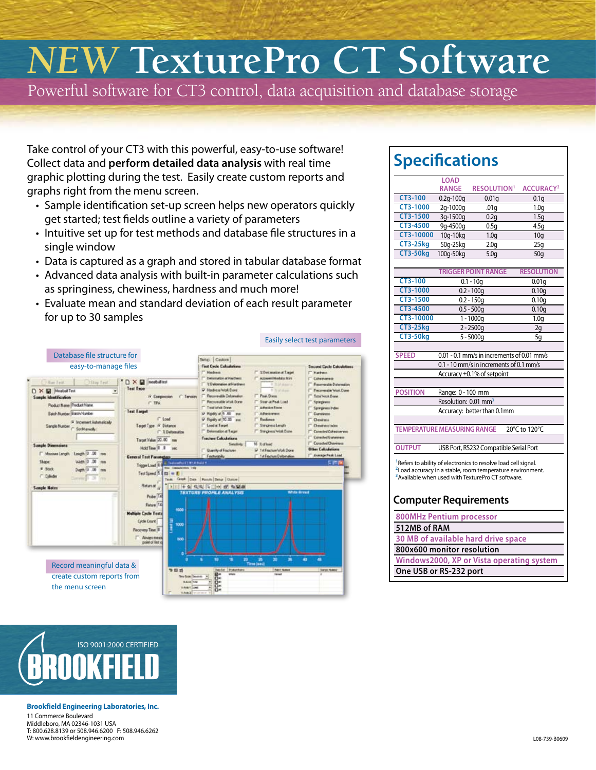# *NEW* **TexturePro CT Software**

Powerful software for CT3 control, data acquisition and database storage

Take control of your CT3 with this powerful, easy-to-use software! Collect data and **perform detailed data analysis** with real time graphic plotting during the test. Easily create custom reports and graphs right from the menu screen.

- Sample identification set-up screen helps new operators quickly get started; test fields outline a variety of parameters
- Intuitive set up for test methods and database file structures in a single window
- Data is captured as a graph and stored in tabular database format
- Advanced data analysis with built-in parameter calculations such as springiness, chewiness, hardness and much more!
- Evaluate mean and standard deviation of each result parameter for up to 30 samples



#### **Specifications**

|                                                                                                                                                                                                         | <b>LOAD</b><br><b>RANGE</b> | <b>RESOLUTION<sup>1</sup></b>          | <b>ACCURACY<sup>2</sup></b> |  |  |  |  |
|---------------------------------------------------------------------------------------------------------------------------------------------------------------------------------------------------------|-----------------------------|----------------------------------------|-----------------------------|--|--|--|--|
| $CT3-100$                                                                                                                                                                                               | $0.2q - 100q$               | 0.01q                                  | 0.1q                        |  |  |  |  |
| CT3-1000                                                                                                                                                                                                | 2g-1000g                    | .01q                                   | 1.0 <sub>q</sub>            |  |  |  |  |
| CT3-1500                                                                                                                                                                                                | 3q-1500g                    | 0.2q                                   | 1.5q                        |  |  |  |  |
| CT3-4500                                                                                                                                                                                                | 9g-4500g                    | 0.5q                                   | 4.5q                        |  |  |  |  |
| CT3-10000                                                                                                                                                                                               | 10g-10kg                    | 1.0 <sub>q</sub>                       | 10q                         |  |  |  |  |
| <b>CT3-25kg</b>                                                                                                                                                                                         | 50g-25kg                    | 2.0 <sub>q</sub>                       | 25g                         |  |  |  |  |
| <b>CT3-50kg</b>                                                                                                                                                                                         | 100g-50kg                   | 5.0 <sub>g</sub>                       | 50q                         |  |  |  |  |
|                                                                                                                                                                                                         |                             |                                        |                             |  |  |  |  |
|                                                                                                                                                                                                         |                             | <b>TRIGGER POINT RANGE</b>             | <b>RESOLUTION</b>           |  |  |  |  |
| CT3-100                                                                                                                                                                                                 |                             | $0.1 - 10q$                            | 0.01q                       |  |  |  |  |
| CT3-1000                                                                                                                                                                                                |                             | $0.2 - 100g$                           | 0.10 <sub>g</sub>           |  |  |  |  |
| CT3-1500                                                                                                                                                                                                |                             | $0.2 - 150g$                           | 0.10q                       |  |  |  |  |
| CT3-4500                                                                                                                                                                                                |                             | $0.5 - 500q$                           | 0.10q                       |  |  |  |  |
| CT3-10000                                                                                                                                                                                               | $1 - 1000q$                 |                                        | 1.0 <sub>q</sub>            |  |  |  |  |
| <b>CT3-25kg</b>                                                                                                                                                                                         | $2 - 2500q$                 |                                        | 2g                          |  |  |  |  |
| <b>CT3-50kg</b>                                                                                                                                                                                         |                             | $5 - 5000q$                            | 5g                          |  |  |  |  |
| <b>SPEED</b><br>0.01 - 0.1 mm/s in increments of 0.01 mm/s                                                                                                                                              |                             |                                        |                             |  |  |  |  |
| 0.1 - 10 mm/s in increments of 0.1 mm/s                                                                                                                                                                 |                             |                                        |                             |  |  |  |  |
|                                                                                                                                                                                                         |                             | Accuracy ±0.1% of setpoint             |                             |  |  |  |  |
|                                                                                                                                                                                                         |                             |                                        |                             |  |  |  |  |
| <b>POSITION</b>                                                                                                                                                                                         | Range: 0 - 100 mm           |                                        |                             |  |  |  |  |
| Resolution: 0.01 mm <sup>3</sup>                                                                                                                                                                        |                             |                                        |                             |  |  |  |  |
| Accuracy: better than 0.1mm                                                                                                                                                                             |                             |                                        |                             |  |  |  |  |
|                                                                                                                                                                                                         |                             |                                        |                             |  |  |  |  |
| <b>TEMPERATURE MEASURING RANGE</b>                                                                                                                                                                      |                             |                                        | 20°C to 120°C               |  |  |  |  |
|                                                                                                                                                                                                         |                             |                                        |                             |  |  |  |  |
| <b>OUTPUT</b>                                                                                                                                                                                           |                             | USB Port, RS232 Compatible Serial Port |                             |  |  |  |  |
| Refers to ability of electronics to resolve load cell signal.<br><sup>2</sup> Load accuracy in a stable, room temperature environment.<br><sup>3</sup> Available when used with TexturePro CT software. |                             |                                        |                             |  |  |  |  |
| <b>Computer Requirements</b>                                                                                                                                                                            |                             |                                        |                             |  |  |  |  |
| <b>800MHz Pentium processor</b>                                                                                                                                                                         |                             |                                        |                             |  |  |  |  |
| 512MB of RAM                                                                                                                                                                                            |                             |                                        |                             |  |  |  |  |
| 30 MB of available hard drive space                                                                                                                                                                     |                             |                                        |                             |  |  |  |  |
| 800x600 monitor resolution                                                                                                                                                                              |                             |                                        |                             |  |  |  |  |
| Windows2000, XP or Vista operating system                                                                                                                                                               |                             |                                        |                             |  |  |  |  |
| One USB or RS-232 port                                                                                                                                                                                  |                             |                                        |                             |  |  |  |  |



#### **Brookfield Engineering Laboratories, Inc.**

11 Commerce Boulevard Middleboro, MA 02346-1031 USA T: 800.628.8139 or 508.946.6200 F: 508.946.6262 W: www.brookfieldengineering.com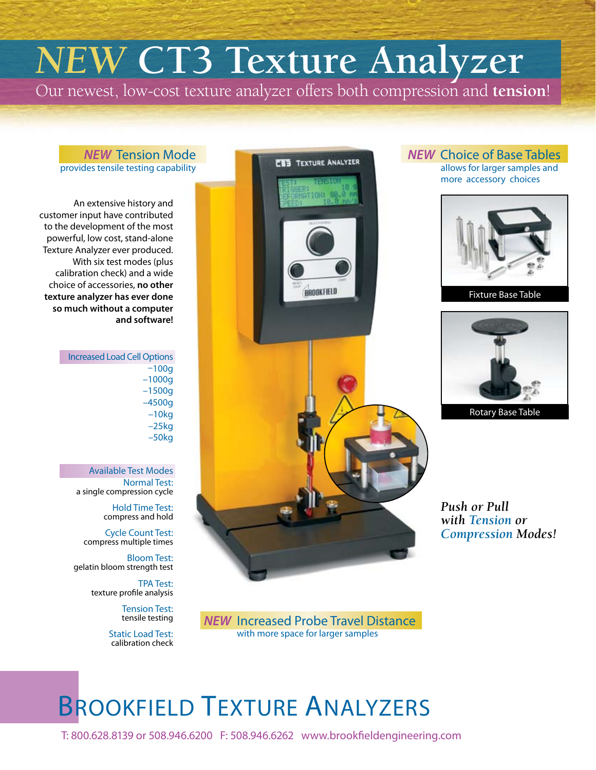# *NEW* **CT3 Texture Analyzer**

Our newest, low-cost texture analyzer offers both compression and **tension**!

**CES TEXTURE ANALYZER** 

#### *NEW* Tension Mode provides tensile testing capability

An extensive history and customer input have contributed to the development of the most powerful, low cost, stand-alone Texture Analyzer ever produced. With six test modes (plus calibration check) and a wide choice of accessories, **no other texture analyzer has ever done so much without a computer and software!**

> Increased Load Cell Options –100g –1000g –1500g –4500g –10kg –25kg –50kg

> > Available Test Modes Normal Test: a single compression cycle

> > > Hold Time Test: compress and hold

Cycle Count Test: compress multiple times

Bloom Test: gelatin bloom strength test

> TPA Test: texture profile analysis

> > Tension Test: tensile testing

Static Load Test: calibration check



*NEW* Choice of Base Tables

allows for larger samples and more accessory choices



Fixture Base Table



Rotary Base Table

*Push or Pull with Tension or Compression Modes!*

*NEW* Increased Probe Travel Distance with more space for larger samples

## BROOKFIELD TEXTURE ANALYZERS

T: 800.628.8139 or 508.946.6200 F: 508.946.6262 www.brookfieldengineering.com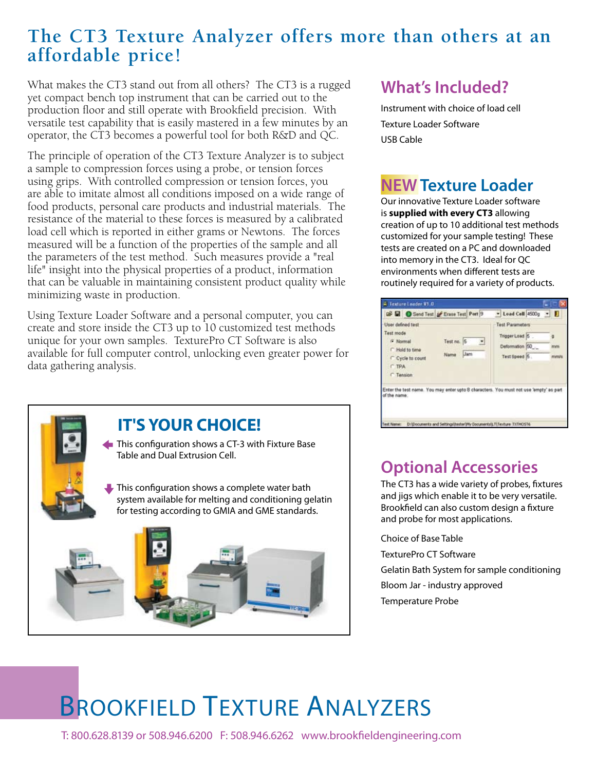### **The CT3 Texture Analyzer offers more than others at an affordable price!**

What makes the CT3 stand out from all others? The CT3 is a rugged yet compact bench top instrument that can be carried out to the production floor and still operate with Brookfield precision. With versatile test capability that is easily mastered in a few minutes by an operator, the CT3 becomes a powerful tool for both R&D and QC.

The principle of operation of the CT3 Texture Analyzer is to subject a sample to compression forces using a probe, or tension forces using grips. With controlled compression or tension forces, you are able to imitate almost all conditions imposed on a wide range of food products, personal care products and industrial materials. The resistance of the material to these forces is measured by a calibrated load cell which is reported in either grams or Newtons. The forces measured will be a function of the properties of the sample and all the parameters of the test method. Such measures provide a "real life" insight into the physical properties of a product, information that can be valuable in maintaining consistent product quality while minimizing waste in production.

Using Texture Loader Software and a personal computer, you can create and store inside the CT3 up to 10 customized test methods unique for your own samples. TexturePro CT Software is also available for full computer control, unlocking even greater power for data gathering analysis.



#### **What's Included?**

Instrument with choice of load cell Texture Loader Software USB Cable

#### **NEW Texture Loader**

Our innovative Texture Loader software is **supplied with every CT3** allowing creation of up to 10 additional test methods customized for your sample testing! These tests are created on a PC and downloaded into memory in the CT3. Ideal for QC environments when different tests are routinely required for a variety of products.

|                                                                               | in Texture Loader V1.0           |                                             |            |                                                                                                                                                              |            |
|-------------------------------------------------------------------------------|----------------------------------|---------------------------------------------|------------|--------------------------------------------------------------------------------------------------------------------------------------------------------------|------------|
|                                                                               |                                  | <b>DE El</b> Send Test of Erase Test Port 9 |            | $\bullet$ Load Cell 4500g $\bullet$                                                                                                                          |            |
| User defined test<br>Test mode<br>F Normal<br><b>CTPA</b><br><b>C</b> Tension | F Hold to time<br>Cycle to count | Test no.<br>l5<br>Name                      | <b>Jam</b> | Test Parameters<br>Tripger Load 5<br>Deformation 50<br>Test Speed 15.                                                                                        | mm<br>mmls |
| of the name.<br><b>Test Name:</b>                                             |                                  |                                             |            | Enter the test name. You may enter upto 8 characters. You must not use 'empty' as part<br>D: [Documents and Settings tester #W Documents 17 Texture TXTHOST6 |            |

#### **Optional Accessories**

The CT3 has a wide variety of probes, fixtures and jigs which enable it to be very versatile. Brookfield can also custom design a fixture and probe for most applications.

Choice of Base Table TexturePro CT Software Gelatin Bath System for sample conditioning Bloom Jar - industry approved Temperature Probe

## BROOKFIELD TEXTURE ANALYZERS

T: 800.628.8139 or 508.946.6200 F: 508.946.6262 www.brookfieldengineering.com